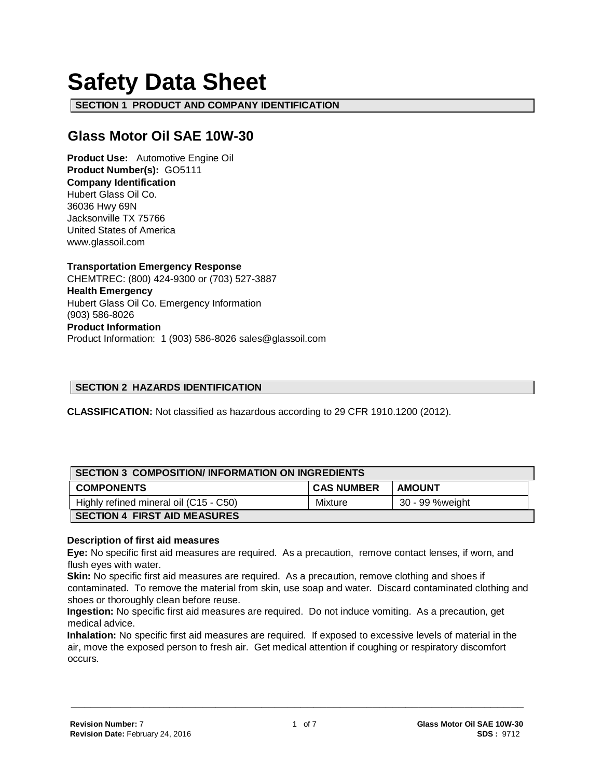# **Safety Data Sheet**

**SECTION 1 PRODUCT AND COMPANY IDENTIFICATION**

# **Glass Motor Oil SAE 10W-30**

**Product Use:** Automotive Engine Oil **Product Number(s):** GO5111 **Company Identification** Hubert Glass Oil Co. 36036 Hwy 69N Jacksonville TX 75766 United States of America www.glassoil.com

**Transportation Emergency Response** CHEMTREC: (800) 424-9300 or (703) 527-3887 **Health Emergency** Hubert Glass Oil Co. Emergency Information (903) 586-8026 **Product Information**  Product Information: 1 (903) 586-8026 sales@glassoil.com

# **SECTION 2 HAZARDS IDENTIFICATION**

**CLASSIFICATION:** Not classified as hazardous according to 29 CFR 1910.1200 (2012).

| <b>SECTION 3 COMPOSITION/INFORMATION ON INGREDIENTS</b> |                   |                 |  |
|---------------------------------------------------------|-------------------|-----------------|--|
| <b>COMPONENTS</b>                                       | <b>CAS NUMBER</b> | <b>AMOUNT</b>   |  |
| Highly refined mineral oil (C15 - C50)                  | Mixture           | 30 - 99 %weight |  |
| <b>SECTION 4 FIRST AID MEASURES</b>                     |                   |                 |  |

#### **Description of first aid measures**

**Eye:** No specific first aid measures are required. As a precaution, remove contact lenses, if worn, and flush eyes with water.

**Skin:** No specific first aid measures are required. As a precaution, remove clothing and shoes if contaminated. To remove the material from skin, use soap and water. Discard contaminated clothing and shoes or thoroughly clean before reuse.

**Ingestion:** No specific first aid measures are required. Do not induce vomiting. As a precaution, get medical advice.

**Inhalation:** No specific first aid measures are required. If exposed to excessive levels of material in the air, move the exposed person to fresh air. Get medical attention if coughing or respiratory discomfort occurs.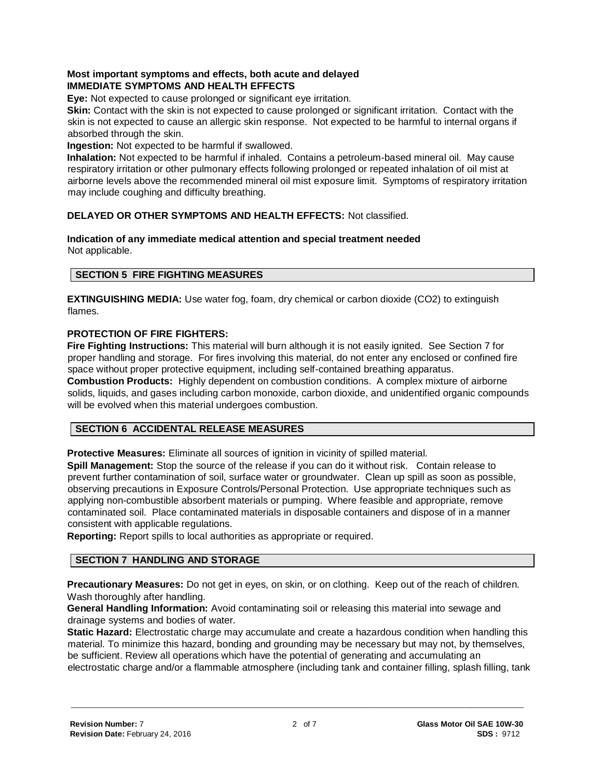# **Most important symptoms and effects, both acute and delayed IMMEDIATE SYMPTOMS AND HEALTH EFFECTS**

**Eye:** Not expected to cause prolonged or significant eye irritation.

**Skin:** Contact with the skin is not expected to cause prolonged or significant irritation. Contact with the skin is not expected to cause an allergic skin response. Not expected to be harmful to internal organs if absorbed through the skin.

#### **Ingestion:** Not expected to be harmful if swallowed.

**Inhalation:** Not expected to be harmful if inhaled. Contains a petroleum-based mineral oil. May cause respiratory irritation or other pulmonary effects following prolonged or repeated inhalation of oil mist at airborne levels above the recommended mineral oil mist exposure limit. Symptoms of respiratory irritation may include coughing and difficulty breathing.

## **DELAYED OR OTHER SYMPTOMS AND HEALTH EFFECTS:** Not classified.

#### **Indication of any immediate medical attention and special treatment needed**  Not applicable.

## **SECTION 5 FIRE FIGHTING MEASURES**

**EXTINGUISHING MEDIA:** Use water fog, foam, dry chemical or carbon dioxide (CO2) to extinguish flames.

#### **PROTECTION OF FIRE FIGHTERS:**

**Fire Fighting Instructions:** This material will burn although it is not easily ignited. See Section 7 for proper handling and storage. For fires involving this material, do not enter any enclosed or confined fire space without proper protective equipment, including self-contained breathing apparatus. **Combustion Products:** Highly dependent on combustion conditions. A complex mixture of airborne solids, liquids, and gases including carbon monoxide, carbon dioxide, and unidentified organic compounds will be evolved when this material undergoes combustion.

#### **SECTION 6 ACCIDENTAL RELEASE MEASURES**

**Protective Measures:** Eliminate all sources of ignition in vicinity of spilled material.

**Spill Management:** Stop the source of the release if you can do it without risk. Contain release to prevent further contamination of soil, surface water or groundwater. Clean up spill as soon as possible, observing precautions in Exposure Controls/Personal Protection. Use appropriate techniques such as applying non-combustible absorbent materials or pumping. Where feasible and appropriate, remove contaminated soil. Place contaminated materials in disposable containers and dispose of in a manner consistent with applicable regulations.

**Reporting:** Report spills to local authorities as appropriate or required.

#### **SECTION 7 HANDLING AND STORAGE**

**Precautionary Measures:** Do not get in eyes, on skin, or on clothing. Keep out of the reach of children. Wash thoroughly after handling.

**General Handling Information:** Avoid contaminating soil or releasing this material into sewage and drainage systems and bodies of water.

**Static Hazard:** Electrostatic charge may accumulate and create a hazardous condition when handling this material. To minimize this hazard, bonding and grounding may be necessary but may not, by themselves, be sufficient. Review all operations which have the potential of generating and accumulating an electrostatic charge and/or a flammable atmosphere (including tank and container filling, splash filling, tank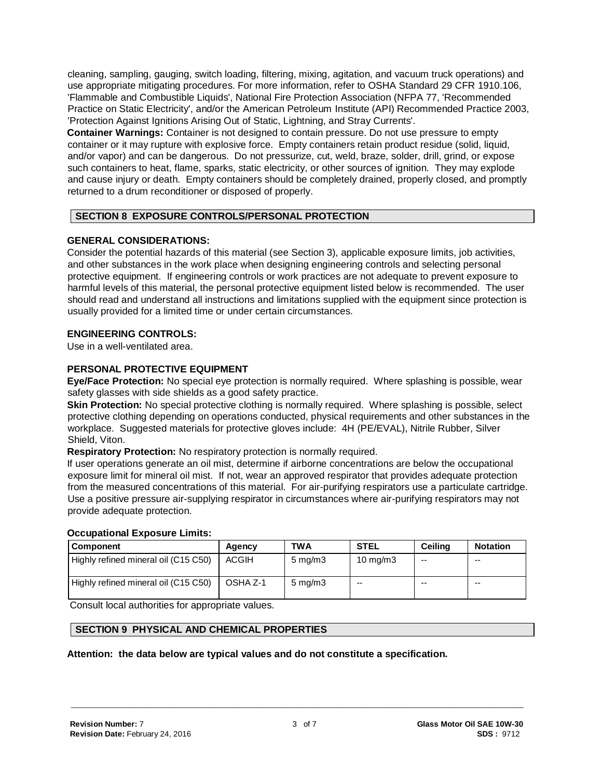cleaning, sampling, gauging, switch loading, filtering, mixing, agitation, and vacuum truck operations) and use appropriate mitigating procedures. For more information, refer to OSHA Standard 29 CFR 1910.106, 'Flammable and Combustible Liquids', National Fire Protection Association (NFPA 77, 'Recommended Practice on Static Electricity', and/or the American Petroleum Institute (API) Recommended Practice 2003, 'Protection Against Ignitions Arising Out of Static, Lightning, and Stray Currents'.

**Container Warnings:** Container is not designed to contain pressure. Do not use pressure to empty container or it may rupture with explosive force. Empty containers retain product residue (solid, liquid, and/or vapor) and can be dangerous. Do not pressurize, cut, weld, braze, solder, drill, grind, or expose such containers to heat, flame, sparks, static electricity, or other sources of ignition. They may explode and cause injury or death. Empty containers should be completely drained, properly closed, and promptly returned to a drum reconditioner or disposed of properly.

# **SECTION 8 EXPOSURE CONTROLS/PERSONAL PROTECTION**

#### **GENERAL CONSIDERATIONS:**

Consider the potential hazards of this material (see Section 3), applicable exposure limits, job activities, and other substances in the work place when designing engineering controls and selecting personal protective equipment. If engineering controls or work practices are not adequate to prevent exposure to harmful levels of this material, the personal protective equipment listed below is recommended. The user should read and understand all instructions and limitations supplied with the equipment since protection is usually provided for a limited time or under certain circumstances.

#### **ENGINEERING CONTROLS:**

Use in a well-ventilated area.

#### **PERSONAL PROTECTIVE EQUIPMENT**

**Eye/Face Protection:** No special eye protection is normally required. Where splashing is possible, wear safety glasses with side shields as a good safety practice.

**Skin Protection:** No special protective clothing is normally required. Where splashing is possible, select protective clothing depending on operations conducted, physical requirements and other substances in the workplace. Suggested materials for protective gloves include: 4H (PE/EVAL), Nitrile Rubber, Silver Shield, Viton.

**Respiratory Protection:** No respiratory protection is normally required.

If user operations generate an oil mist, determine if airborne concentrations are below the occupational exposure limit for mineral oil mist. If not, wear an approved respirator that provides adequate protection from the measured concentrations of this material. For air-purifying respirators use a particulate cartridge. Use a positive pressure air-supplying respirator in circumstances where air-purifying respirators may not provide adequate protection.

#### **Occupational Exposure Limits:**

| Component                            | Agency       | <b>TWA</b>       | <b>STEL</b>       | Ceiling | <b>Notation</b> |
|--------------------------------------|--------------|------------------|-------------------|---------|-----------------|
| Highly refined mineral oil (C15 C50) | <b>ACGIH</b> | $5 \text{ mg/m}$ | $10 \text{ mg/m}$ | --      | $- -$           |
| Highly refined mineral oil (C15 C50) | OSHA Z-1     | $5 \text{ mg/m}$ | $-$               | --      | --              |

Consult local authorities for appropriate values.

# **SECTION 9 PHYSICAL AND CHEMICAL PROPERTIES**

**Attention: the data below are typical values and do not constitute a specification.**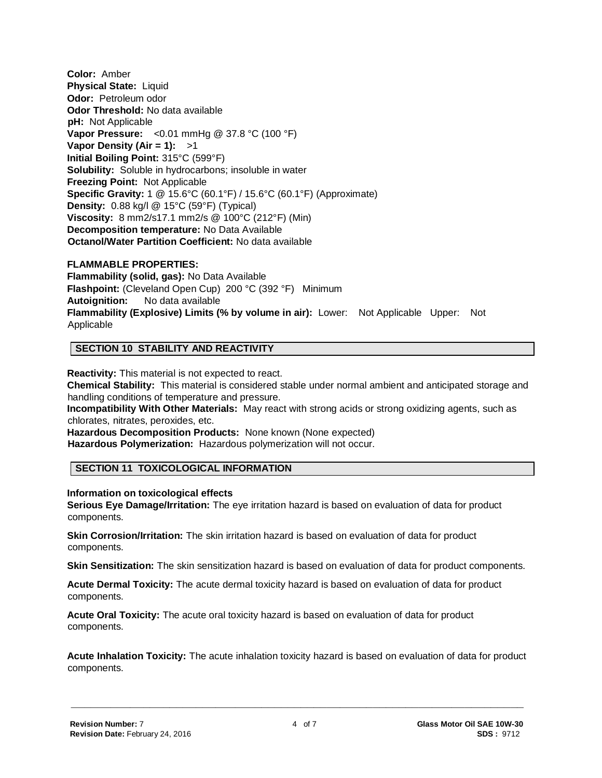**Color:** Amber **Physical State:** Liquid **Odor:** Petroleum odor **Odor Threshold:** No data available **pH:** Not Applicable **Vapor Pressure:** <0.01 mmHg @ 37.8 °C (100 °F) **Vapor Density (Air = 1):** >1 **Initial Boiling Point:** 315°C (599°F) **Solubility:** Soluble in hydrocarbons; insoluble in water **Freezing Point:** Not Applicable **Specific Gravity:** 1 @ 15.6°C (60.1°F) / 15.6°C (60.1°F) (Approximate) **Density:** 0.88 kg/l @ 15°C (59°F) (Typical) **Viscosity:** 8 mm2/s17.1 mm2/s @ 100°C (212°F) (Min) **Decomposition temperature:** No Data Available **Octanol/Water Partition Coefficient:** No data available

#### **FLAMMABLE PROPERTIES:**

**Flammability (solid, gas):** No Data Available **Flashpoint:** (Cleveland Open Cup) 200 °C (392 °F) Minimum **Autoignition:** No data available **Flammability (Explosive) Limits (% by volume in air):** Lower: Not Applicable Upper: Not Applicable

#### **SECTION 10 STABILITY AND REACTIVITY**

**Reactivity:** This material is not expected to react.

**Chemical Stability:** This material is considered stable under normal ambient and anticipated storage and handling conditions of temperature and pressure.

**Incompatibility With Other Materials:** May react with strong acids or strong oxidizing agents, such as chlorates, nitrates, peroxides, etc.

**Hazardous Decomposition Products:** None known (None expected) **Hazardous Polymerization:** Hazardous polymerization will not occur.

#### **SECTION 11 TOXICOLOGICAL INFORMATION**

#### **Information on toxicological effects**

**Serious Eye Damage/Irritation:** The eye irritation hazard is based on evaluation of data for product components.

**Skin Corrosion/Irritation:** The skin irritation hazard is based on evaluation of data for product components.

**Skin Sensitization:** The skin sensitization hazard is based on evaluation of data for product components.

**Acute Dermal Toxicity:** The acute dermal toxicity hazard is based on evaluation of data for product components.

**Acute Oral Toxicity:** The acute oral toxicity hazard is based on evaluation of data for product components.

**Acute Inhalation Toxicity:** The acute inhalation toxicity hazard is based on evaluation of data for product components.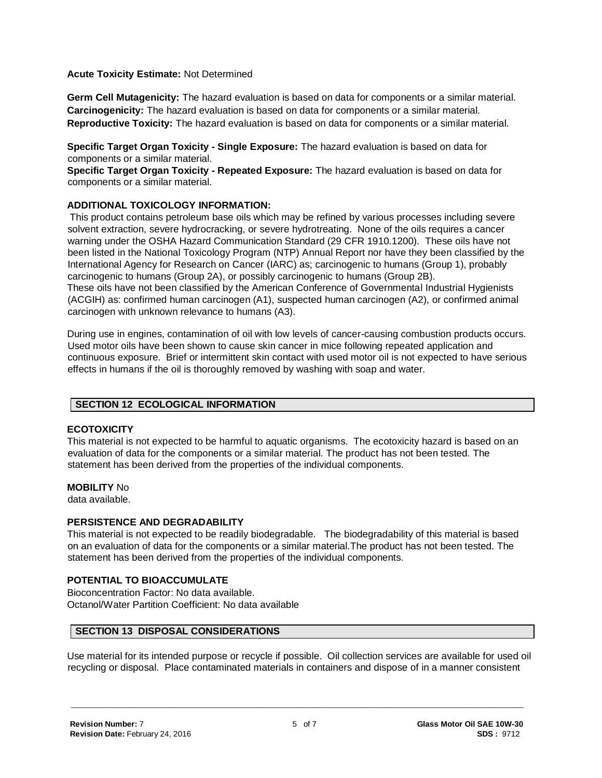#### **Acute Toxicity Estimate:** Not Determined

**Germ Cell Mutagenicity:** The hazard evaluation is based on data for components or a similar material. **Carcinogenicity:** The hazard evaluation is based on data for components or a similar material. **Reproductive Toxicity:** The hazard evaluation is based on data for components or a similar material.

**Specific Target Organ Toxicity - Single Exposure:** The hazard evaluation is based on data for components or a similar material.

**Specific Target Organ Toxicity - Repeated Exposure:** The hazard evaluation is based on data for components or a similar material.

#### **ADDITIONAL TOXICOLOGY INFORMATION:**

This product contains petroleum base oils which may be refined by various processes including severe solvent extraction, severe hydrocracking, or severe hydrotreating. None of the oils requires a cancer warning under the OSHA Hazard Communication Standard (29 CFR 1910.1200). These oils have not been listed in the National Toxicology Program (NTP) Annual Report nor have they been classified by the International Agency for Research on Cancer (IARC) as; carcinogenic to humans (Group 1), probably carcinogenic to humans (Group 2A), or possibly carcinogenic to humans (Group 2B). These oils have not been classified by the American Conference of Governmental Industrial Hygienists (ACGIH) as: confirmed human carcinogen (A1), suspected human carcinogen (A2), or confirmed animal carcinogen with unknown relevance to humans (A3).

During use in engines, contamination of oil with low levels of cancer-causing combustion products occurs. Used motor oils have been shown to cause skin cancer in mice following repeated application and continuous exposure. Brief or intermittent skin contact with used motor oil is not expected to have serious effects in humans if the oil is thoroughly removed by washing with soap and water.

#### **SECTION 12 ECOLOGICAL INFORMATION**

#### **ECOTOXICITY**

This material is not expected to be harmful to aquatic organisms. The ecotoxicity hazard is based on an evaluation of data for the components or a similar material. The product has not been tested. The statement has been derived from the properties of the individual components.

#### **MOBILITY** No

data available.

#### **PERSISTENCE AND DEGRADABILITY**

This material is not expected to be readily biodegradable. The biodegradability of this material is based on an evaluation of data for the components or a similar material.The product has not been tested. The statement has been derived from the properties of the individual components.

# **POTENTIAL TO BIOACCUMULATE**

Bioconcentration Factor: No data available. Octanol/Water Partition Coefficient: No data available

#### **SECTION 13 DISPOSAL CONSIDERATIONS**

Use material for its intended purpose or recycle if possible. Oil collection services are available for used oil recycling or disposal. Place contaminated materials in containers and dispose of in a manner consistent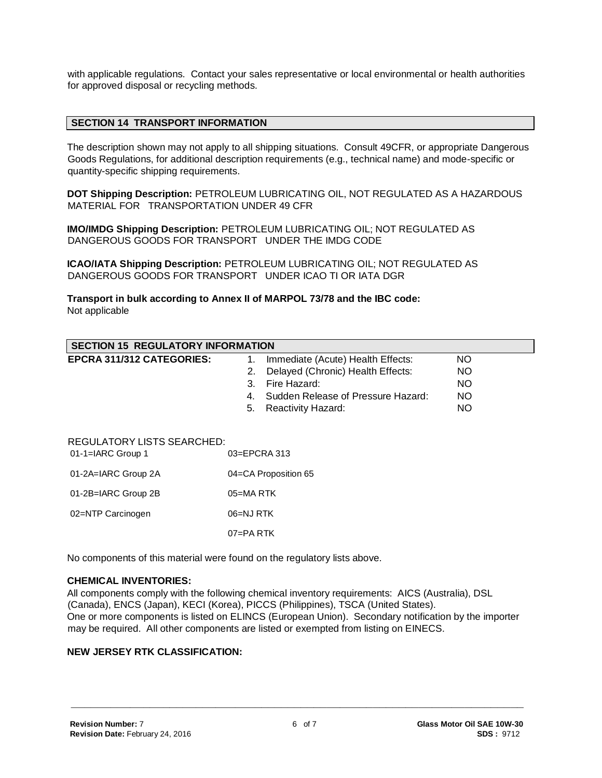with applicable regulations. Contact your sales representative or local environmental or health authorities for approved disposal or recycling methods.

#### **SECTION 14 TRANSPORT INFORMATION**

The description shown may not apply to all shipping situations. Consult 49CFR, or appropriate Dangerous Goods Regulations, for additional description requirements (e.g., technical name) and mode-specific or quantity-specific shipping requirements.

**DOT Shipping Description:** PETROLEUM LUBRICATING OIL, NOT REGULATED AS A HAZARDOUS MATERIAL FOR TRANSPORTATION UNDER 49 CFR

**IMO/IMDG Shipping Description:** PETROLEUM LUBRICATING OIL; NOT REGULATED AS DANGEROUS GOODS FOR TRANSPORT UNDER THE IMDG CODE

**ICAO/IATA Shipping Description:** PETROLEUM LUBRICATING OIL; NOT REGULATED AS DANGEROUS GOODS FOR TRANSPORT UNDER ICAO TI OR IATA DGR

**Transport in bulk according to Annex II of MARPOL 73/78 and the IBC code:** Not applicable

| <b>SECTION 15 REGULATORY INFORMATION</b>                               |                                          |           |  |  |
|------------------------------------------------------------------------|------------------------------------------|-----------|--|--|
| <b>EPCRA 311/312 CATEGORIES:</b>                                       | Immediate (Acute) Health Effects:<br>1.  | NO.       |  |  |
|                                                                        | Delayed (Chronic) Health Effects:<br>2.  | NO        |  |  |
|                                                                        | Fire Hazard:<br>3.                       | <b>NO</b> |  |  |
|                                                                        | Sudden Release of Pressure Hazard:<br>4. | NO        |  |  |
|                                                                        | <b>Reactivity Hazard:</b><br>5.          | NO        |  |  |
| <b>REGULATORY LISTS SEARCHED:</b><br>03=EPCRA 313<br>01-1=IARC Group 1 |                                          |           |  |  |
| 01-2A=IARC Group 2A                                                    | 04=CA Proposition 65                     |           |  |  |
| 01-2B=IARC Group 2B                                                    | $05 = MA$ RTK                            |           |  |  |
| 02=NTP Carcinogen                                                      | 06=NJ RTK                                |           |  |  |
|                                                                        | $07 = PA$ RTK                            |           |  |  |

No components of this material were found on the regulatory lists above.

#### **CHEMICAL INVENTORIES:**

All components comply with the following chemical inventory requirements: AICS (Australia), DSL (Canada), ENCS (Japan), KECI (Korea), PICCS (Philippines), TSCA (United States). One or more components is listed on ELINCS (European Union). Secondary notification by the importer may be required. All other components are listed or exempted from listing on EINECS.

#### **NEW JERSEY RTK CLASSIFICATION:**